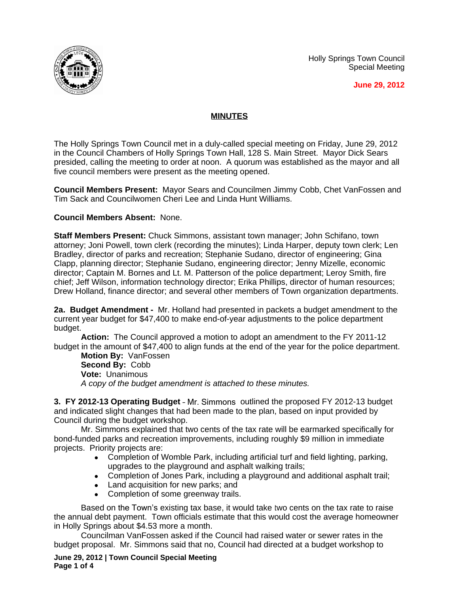Holly Springs Town Council Special Meeting





## **MINUTES**

The Holly Springs Town Council met in a duly-called special meeting on Friday, June 29, 2012 in the Council Chambers of Holly Springs Town Hall, 128 S. Main Street. Mayor Dick Sears presided, calling the meeting to order at noon. A quorum was established as the mayor and all five council members were present as the meeting opened.

**Council Members Present:** Mayor Sears and Councilmen Jimmy Cobb, Chet VanFossen and Tim Sack and Councilwomen Cheri Lee and Linda Hunt Williams.

## **Council Members Absent:** None.

**Staff Members Present:** Chuck Simmons, assistant town manager; John Schifano, town attorney; Joni Powell, town clerk (recording the minutes); Linda Harper, deputy town clerk; Len Bradley, director of parks and recreation; Stephanie Sudano, director of engineering; Gina Clapp, planning director; Stephanie Sudano, engineering director; Jenny Mizelle, economic director; Captain M. Bornes and Lt. M. Patterson of the police department; Leroy Smith, fire chief; Jeff Wilson, information technology director; Erika Phillips, director of human resources; Drew Holland, finance director; and several other members of Town organization departments.

**2a. Budget Amendment -** Mr. Holland had presented in packets a budget amendment to the current year budget for \$47,400 to make end-of-year adjustments to the police department budget.

**Action:** The Council approved a motion to adopt an amendment to the FY 2011-12 budget in the amount of \$47,400 to align funds at the end of the year for the police department.

**Motion By:** VanFossen **Second By:** Cobb **Vote:** Unanimous *A copy of the budget amendment is attached to these minutes.*

**3. FY 2012-13 Operating Budget** – Mr. Simmons outlined the proposed FY 2012-13 budget and indicated slight changes that had been made to the plan, based on input provided by Council during the budget workshop.

Mr. Simmons explained that two cents of the tax rate will be earmarked specifically for bond-funded parks and recreation improvements, including roughly \$9 million in immediate projects. Priority projects are:

- Completion of Womble Park, including artificial turf and field lighting, parking, upgrades to the playground and asphalt walking trails;
- Completion of Jones Park, including a playground and additional asphalt trail;
- Land acquisition for new parks; and
- Completion of some greenway trails.

Based on the Town's existing tax base, it would take two cents on the tax rate to raise the annual debt payment. Town officials estimate that this would cost the average homeowner in Holly Springs about \$4.53 more a month.

Councilman VanFossen asked if the Council had raised water or sewer rates in the budget proposal. Mr. Simmons said that no, Council had directed at a budget workshop to

**June 29, 2012 | Town Council Special Meeting Page 1 of 4**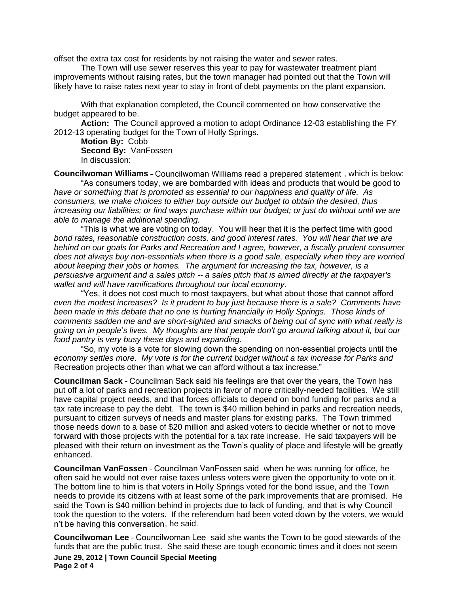offset the extra tax cost for residents by not raising the water and sewer rates.

The Town will use sewer reserves this year to pay for wastewater treatment plant improvements without raising rates, but the town manager had pointed out that the Town will likely have to raise rates next year to stay in front of debt payments on the plant expansion.

With that explanation completed, the Council commented on how conservative the budget appeared to be.

**Action:** The Council approved a motion to adopt Ordinance 12-03 establishing the FY 2012-13 operating budget for the Town of Holly Springs.

**Motion By:** Cobb **Second By:** VanFossen In discussion:

**Councilwoman Williams** – Councilwoman Williams read a prepared statement , which is below:

"As consumers today, we are bombarded with ideas and products that would be good to *have or something that is promoted as essential to our happiness and quality of life. As consumers, we make choices to either buy outside our budget to obtain the desired, thus increasing our liabilities; or find ways purchase within our budget; or just do without until we are able to manage the additional spending.* 

"This is what we are voting on today. You will hear that it is the perfect time with good *bond rates, reasonable construction costs, and good interest rates. You will hear that we are behind on our goals for Parks and Recreation and I agree, however, a fiscally prudent consumer does not always buy non-essentials when there is a good sale, especially when they are worried about keeping their jobs or homes. The argument for increasing the tax, however, is a persuasive argument and a sales pitch -- a sales pitch that is aimed directly at the taxpayer's wallet and will have ramifications throughout our local economy.*

"Yes, it does not cost much to most taxpayers, but what about those that cannot afford *even the modest increases? Is it prudent to buy just because there is a sale? Comments have been made in this debate that no one is hurting financially in Holly Springs. Those kinds of comments sadden me and are short-sighted and smacks of being out of sync with what really is going on in people*'*s lives. My thoughts are that people don't go around talking about it, but our food pantry is very busy these days and expanding.*

"So, my vote is a vote for slowing down the spending on non-essential projects until the *economy settles more. My vote is for the current budget without a tax increase for Parks and*  Recreation projects other than what we can afford without a tax increase."

**Councilman Sack** – Councilman Sack said his feelings are that over the years, the Town has put off a lot of parks and recreation projects in favor of more critically-needed facilities. We still have capital project needs, and that forces officials to depend on bond funding for parks and a tax rate increase to pay the debt. The town is \$40 million behind in parks and recreation needs, pursuant to citizen surveys of needs and master plans for existing parks. The Town trimmed those needs down to a base of \$20 million and asked voters to decide whether or not to move forward with those projects with the potential for a tax rate increase. He said taxpayers will be pleased with their return on investment as the Town's quality of place and lifestyle will be greatly enhanced.

**Councilman VanFossen** – Councilman VanFossen said when he was running for office, he often said he would not ever raise taxes unless voters were given the opportunity to vote on it. The bottom line to him is that voters in Holly Springs voted for the bond issue, and the Town needs to provide its citizens with at least some of the park improvements that are promised. He said the Town is \$40 million behind in projects due to lack of funding, and that is why Council took the question to the voters. If the referendum had been voted down by the voters, we would n't be having this conversation, he said.

**Councilwoman Lee** – Councilwoman Lee said she wants the Town to be good stewards of the funds that are the public trust. She said these are tough economic times and it does not seem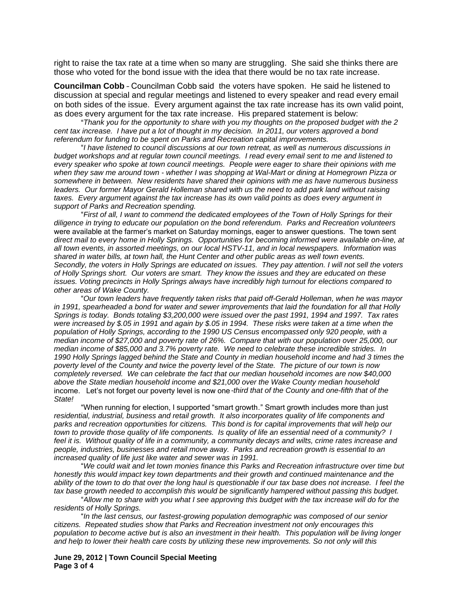right to raise the tax rate at a time when so many are struggling. She said she thinks there are those who voted for the bond issue with the idea that there would be no tax rate increase.

**Councilman Cobb** – Councilman Cobb said the voters have spoken. He said he listened to discussion at special and regular meetings and listened to every speaker and read every email on both sides of the issue. Every argument against the tax rate increase has its own valid point, as does every argument for the tax rate increase. His prepared statement is below:

"*Thank you for the opportunity to share with you my thoughts on the proposed budget with the 2 cent tax increase. I have put a lot of thought in my decision. In 2011, our voters approved a bond referendum for funding to be spent on Parks and Recreation capital improvements.* 

"*I have listened to council discussions at our town retreat, as well as numerous discussions in budget workshops and at regular town council meetings. I read every email sent to me and listened to every speaker who spoke at town council meetings. People were eager to share their opinions with me when they saw me around town - whether I was shopping at Wal-Mart or dining at Homegrown Pizza or somewhere in between. New residents have shared their opinions with me as have numerous business leaders. Our former Mayor Gerald Holleman shared with us the need to add park land without raising taxes. Every argument against the tax increase has its own valid points as does every argument in support of Parks and Recreation spending.* 

"*First of all, I want to commend the dedicated employees of the Town of Holly Springs for their diligence in trying to educate our population on the bond referendum. Parks and Recreation volunteers*  were available at the farmer's market on Saturday mornings, eager to answer questions. The town sent *direct mail to every home in Holly Springs. Opportunities for becoming informed were available on-line, at all town events, in assorted meetings, on our local HSTV-11, and in local newspapers. Information was shared in water bills, at town hall, the Hunt Center and other public areas as well town events. Secondly, the voters in Holly Springs are educated on issues. They pay attention. I will not sell the voters of Holly Springs short. Our voters are smart. They know the issues and they are educated on these issues. Voting precincts in Holly Springs always have incredibly high turnout for elections compared to other areas of Wake County.*

"*Our town leaders have frequently taken risks that paid off-Gerald Holleman, when he was mayor in 1991, spearheaded a bond for water and sewer improvements that laid the foundation for all that Holly Springs is today. Bonds totaling \$3,200,000 were issued over the past 1991, 1994 and 1997. Tax rates were increased by \$.05 in 1991 and again by \$.05 in 1994. These risks were taken at a time when the population of Holly Springs, according to the 1990 US Census encompassed only 920 people, with a median income of \$27,000 and poverty rate of 26%. Compare that with our population over 25,000, our median income of \$85,000 and 3.7% poverty rate. We need to celebrate these incredible strides. In 1990 Holly Springs lagged behind the State and County in median household income and had 3 times the poverty level of the County and twice the poverty level of the State. The picture of our town is now completely reversed. We can celebrate the fact that our median household incomes are now \$40,000 above the State median household income and \$21,000 over the Wake County median household*  income. Let's not forget our poverty level is now one*-third that of the County and one-fifth that of the State!*

"When running for election, I supported "smart growth*.*" Smart growth includes more than just *residential, industrial, business and retail growth. It also incorporates quality of life components and parks and recreation opportunities for citizens. This bond is for capital improvements that will help our town to provide those quality of life components. Is quality of life an essential need of a community? I feel it is. Without quality of life in a community, a community decays and wilts, crime rates increase and people, industries, businesses and retail move away. Parks and recreation growth is essential to an increased quality of life just like water and sewer was in 1991.*

"*We could wait and let town monies finance this Parks and Recreation infrastructure over time but honestly this would impact key town departments and their growth and continued maintenance and the ability of the town to do that over the long haul is questionable if our tax base does not increase. I feel the*  tax base growth needed to accomplish this would be significantly hampered without passing this budget.

"*Allow me to share with you what I see approving this budget with the tax increase will do for the residents of Holly Springs.* 

"*In the last census, our fastest-growing population demographic was composed of our senior citizens. Repeated studies show that Parks and Recreation investment not only encourages this population to become active but is also an investment in their health. This population will be living longer and help to lower their health care costs by utilizing these new improvements. So not only will this* 

**June 29, 2012 | Town Council Special Meeting Page 3 of 4**